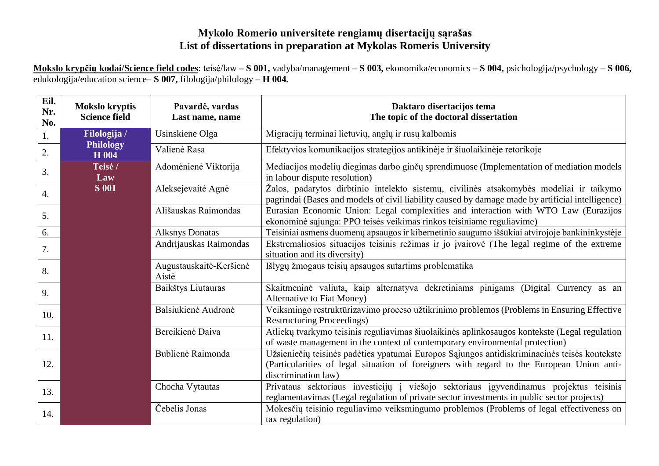## **Mykolo Romerio universitete rengiamų disertacijų sąrašas List of dissertations in preparation at Mykolas Romeris University**

**Mokslo krypčių kodai/Science field codes**: teisė/law **– S 001,** vadyba/management – **S 003,** ekonomika/economics – **S 004,** psichologija/psychology – **S 006,**  edukologija/education science– **S 007,** filologija/philology – **H 004.**

| Eil.<br>Nr.<br>No. | <b>Mokslo kryptis</b><br><b>Science field</b> | Pavardė, vardas<br>Last name, name | Daktaro disertacijos tema<br>The topic of the doctoral dissertation                                                                                                                                              |
|--------------------|-----------------------------------------------|------------------------------------|------------------------------------------------------------------------------------------------------------------------------------------------------------------------------------------------------------------|
| 1.                 | Filologija /                                  | Usinskiene Olga                    | Migracijų terminai lietuvių, anglų ir rusų kalbomis                                                                                                                                                              |
| 2.                 | <b>Philology</b><br>H 004                     | Valienė Rasa                       | Efektyvios komunikacijos strategijos antikinėje ir šiuolaikinėje retorikoje                                                                                                                                      |
| 3.                 | Teisė /<br>Law                                | Adomėnienė Viktorija               | Mediacijos modelių diegimas darbo ginčų sprendimuose (Implementation of mediation models<br>in labour dispute resolution)                                                                                        |
| $\overline{4}$ .   | <b>S</b> 001                                  | Aleksejevaitė Agnė                 | Žalos, padarytos dirbtinio intelekto sistemų, civilinės atsakomybės modeliai ir taikymo<br>pagrindai (Bases and models of civil liability caused by damage made by artificial intelligence)                      |
| 5.                 |                                               | Ališauskas Raimondas               | Eurasian Economic Union: Legal complexities and interaction with WTO Law (Eurazijos<br>ekonominė sąjunga: PPO teisės veikimas rinkos teisiniame reguliavime)                                                     |
| 6.                 |                                               | <b>Alksnys Donatas</b>             | Teisiniai asmens duomenų apsaugos ir kibernetinio saugumo iššūkiai atvirojoje bankininkystėje                                                                                                                    |
| 7.                 |                                               | Andrijauskas Raimondas             | Ekstremaliosios situacijos teisinis režimas ir jo įvairovė (The legal regime of the extreme<br>situation and its diversity)                                                                                      |
| 8.                 |                                               | Augustauskaitė-Keršienė<br>Aistė   | Išlygų žmogaus teisių apsaugos sutartims problematika                                                                                                                                                            |
| 9.                 |                                               | Baikštys Liutauras                 | Skaitmeninė valiuta, kaip alternatyva dekretiniams pinigams (Digital Currency as an<br>Alternative to Fiat Money)                                                                                                |
| 10.                |                                               | Balsiukienė Audronė                | Veiksmingo restruktūrizavimo proceso užtikrinimo problemos (Problems in Ensuring Effective<br><b>Restructuring Proceedings)</b>                                                                                  |
| 11.                |                                               | Bereikienė Daiva                   | Atliekų tvarkymo teisinis reguliavimas šiuolaikinės aplinkosaugos kontekste (Legal regulation<br>of waste management in the context of contemporary environmental protection)                                    |
| 12.                |                                               | Bublienė Raimonda                  | Užsieniečių teisinės padėties ypatumai Europos Sąjungos antidiskriminacinės teisės kontekste<br>(Particularities of legal situation of foreigners with regard to the European Union anti-<br>discrimination law) |
| 13.                |                                               | Chocha Vytautas                    | Privataus sektoriaus investicijų į viešojo sektoriaus įgyvendinamus projektus teisinis<br>reglamentavimas (Legal regulation of private sector investments in public sector projects)                             |
| 14.                |                                               | Čebelis Jonas                      | Mokesčių teisinio reguliavimo veiksmingumo problemos (Problems of legal effectiveness on<br>tax regulation)                                                                                                      |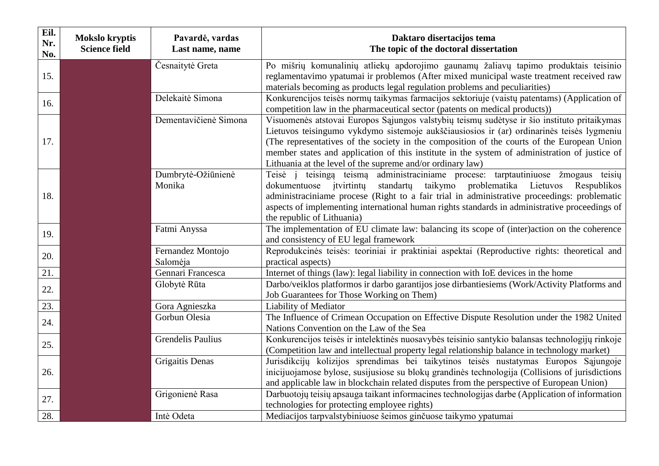| Eil.<br>Nr.<br>No. | <b>Mokslo kryptis</b><br><b>Science field</b> | Pavardė, vardas<br>Last name, name | Daktaro disertacijos tema<br>The topic of the doctoral dissertation                                                                                                                                                                                                                                                                                                                                                                                   |
|--------------------|-----------------------------------------------|------------------------------------|-------------------------------------------------------------------------------------------------------------------------------------------------------------------------------------------------------------------------------------------------------------------------------------------------------------------------------------------------------------------------------------------------------------------------------------------------------|
| 15.                |                                               | Česnaitytė Greta                   | Po mišrių komunalinių atliekų apdorojimo gaunamų žaliavų tapimo produktais teisinio<br>reglamentavimo ypatumai ir problemos (After mixed municipal waste treatment received raw<br>materials becoming as products legal regulation problems and peculiarities)                                                                                                                                                                                        |
| 16.                |                                               | Delekaitė Simona                   | Konkurencijos teisės normų taikymas farmacijos sektoriuje (vaistų patentams) (Application of<br>competition law in the pharmaceutical sector (patents on medical products))                                                                                                                                                                                                                                                                           |
| 17.                |                                               | Dementavičienė Simona              | Visuomenės atstovai Europos Sąjungos valstybių teismų sudėtyse ir šio instituto pritaikymas<br>Lietuvos teisingumo vykdymo sistemoje aukščiausiosios ir (ar) ordinarinės teisės lygmeniu<br>(The representatives of the society in the composition of the courts of the European Union<br>member states and application of this institute in the system of administration of justice of<br>Lithuania at the level of the supreme and/or ordinary law) |
| 18.                |                                               | Dumbrytė-Ožiūnienė<br>Monika       | Teisė į teisingą teismą administraciniame procese: tarptautiniuose žmogaus teisių<br>taikymo problematika<br>Lietuvos<br>dokumentuose itvirtintu<br>standartų<br>Respublikos<br>administraciniame procese (Right to a fair trial in administrative proceedings: problematic<br>aspects of implementing international human rights standards in administrative proceedings of<br>the republic of Lithuania)                                            |
| 19.                |                                               | Fatmi Anyssa                       | The implementation of EU climate law: balancing its scope of (inter)action on the coherence<br>and consistency of EU legal framework                                                                                                                                                                                                                                                                                                                  |
| 20.                |                                               | Fernandez Montojo<br>Salomėja      | Reprodukcinės teisės: teoriniai ir praktiniai aspektai (Reproductive rights: theoretical and<br>practical aspects)                                                                                                                                                                                                                                                                                                                                    |
| 21.                |                                               | Gennari Francesca                  | Internet of things (law): legal liability in connection with IoE devices in the home                                                                                                                                                                                                                                                                                                                                                                  |
| 22.                |                                               | Globytė Rūta                       | Darbo/veiklos platformos ir darbo garantijos jose dirbantiesiems (Work/Activity Platforms and<br>Job Guarantees for Those Working on Them)                                                                                                                                                                                                                                                                                                            |
| 23.                |                                               | Gora Agnieszka                     | <b>Liability of Mediator</b>                                                                                                                                                                                                                                                                                                                                                                                                                          |
| 24.                |                                               | Gorbun Olesia                      | The Influence of Crimean Occupation on Effective Dispute Resolution under the 1982 United<br>Nations Convention on the Law of the Sea                                                                                                                                                                                                                                                                                                                 |
| 25.                |                                               | <b>Grendelis Paulius</b>           | Konkurencijos teisės ir intelektinės nuosavybės teisinio santykio balansas technologijų rinkoje<br>(Competition law and intellectual property legal relationship balance in technology market)                                                                                                                                                                                                                                                        |
| 26.                |                                               | Grigaitis Denas                    | Jurisdikcijų kolizijos sprendimas bei taikytinos teisės nustatymas Europos Sąjungoje<br>inicijuojamose bylose, susijusiose su blokų grandinės technologija (Collisions of jurisdictions<br>and applicable law in blockchain related disputes from the perspective of European Union)                                                                                                                                                                  |
| 27.                |                                               | Grigonienė Rasa                    | Darbuotojų teisių apsauga taikant informacines technologijas darbe (Application of information<br>technologies for protecting employee rights)                                                                                                                                                                                                                                                                                                        |
| 28.                |                                               | Intė Odeta                         | Mediacijos tarpvalstybiniuose šeimos ginčuose taikymo ypatumai                                                                                                                                                                                                                                                                                                                                                                                        |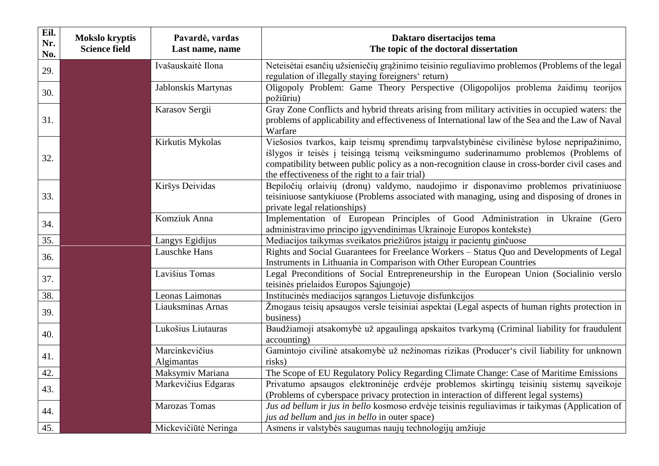| Eil.<br>Nr.<br>No. | <b>Mokslo kryptis</b><br><b>Science field</b> | Pavardė, vardas<br>Last name, name | Daktaro disertacijos tema<br>The topic of the doctoral dissertation                                                                                                                                                                                                                                                                      |
|--------------------|-----------------------------------------------|------------------------------------|------------------------------------------------------------------------------------------------------------------------------------------------------------------------------------------------------------------------------------------------------------------------------------------------------------------------------------------|
| 29.                |                                               | Ivašauskaitė Ilona                 | Neteisėtai esančių užsieniečių grąžinimo teisinio reguliavimo problemos (Problems of the legal<br>regulation of illegally staying foreigners' return)                                                                                                                                                                                    |
| 30.                |                                               | Jablonskis Martynas                | Oligopoly Problem: Game Theory Perspective (Oligopolijos problema žaidimų teorijos<br>požiūriu)                                                                                                                                                                                                                                          |
| 31.                |                                               | Karasov Sergii                     | Gray Zone Conflicts and hybrid threats arising from military activities in occupied waters: the<br>problems of applicability and effectiveness of International law of the Sea and the Law of Naval<br>Warfare                                                                                                                           |
| 32.                |                                               | Kirkutis Mykolas                   | Viešosios tvarkos, kaip teismų sprendimų tarpvalstybinėse civilinėse bylose nepripažinimo,<br>išlygos ir teisės į teisingą teismą veiksmingumo suderinamumo problemos (Problems of<br>compatibility between public policy as a non-recognition clause in cross-border civil cases and<br>the effectiveness of the right to a fair trial) |
| 33.                |                                               | Kiršys Deividas                    | Bepiločių orlaivių (dronų) valdymo, naudojimo ir disponavimo problemos privatiniuose<br>teisiniuose santykiuose (Problems associated with managing, using and disposing of drones in<br>private legal relationships)                                                                                                                     |
| 34.                |                                               | Komziuk Anna                       | Implementation of European Principles of Good Administration in Ukraine (Gero<br>administravimo principo įgyvendinimas Ukrainoje Europos kontekste)                                                                                                                                                                                      |
| 35.                |                                               | Langys Egidijus                    | Mediacijos taikymas sveikatos priežiūros įstaigų ir pacientų ginčuose                                                                                                                                                                                                                                                                    |
| 36.                |                                               | Lauschke Hans                      | Rights and Social Guarantees for Freelance Workers - Status Quo and Developments of Legal<br>Instruments in Lithuania in Comparison with Other European Countries                                                                                                                                                                        |
| 37.                |                                               | Lavišius Tomas                     | Legal Preconditions of Social Entrepreneurship in the European Union (Socialinio verslo<br>teisinės prielaidos Europos Sąjungoje)                                                                                                                                                                                                        |
| 38.                |                                               | Leonas Laimonas                    | Institucinės mediacijos sąrangos Lietuvoje disfunkcijos                                                                                                                                                                                                                                                                                  |
| 39.                |                                               | Liauksminas Arnas                  | Žmogaus teisių apsaugos versle teisiniai aspektai (Legal aspects of human rights protection in<br>business)                                                                                                                                                                                                                              |
| 40.                |                                               | Lukošius Liutauras                 | Baudžiamoji atsakomybė už apgaulingą apskaitos tvarkymą (Criminal liability for fraudulent<br>accounting)                                                                                                                                                                                                                                |
| 41.                |                                               | Marcinkevičius<br>Algimantas       | Gamintojo civilinė atsakomybė už nežinomas rizikas (Producer's civil liability for unknown<br>risks)                                                                                                                                                                                                                                     |
| 42.                |                                               | Maksymiv Mariana                   | The Scope of EU Regulatory Policy Regarding Climate Change: Case of Maritime Emissions                                                                                                                                                                                                                                                   |
| 43.                |                                               | Markevičius Edgaras                | Privatumo apsaugos elektroninėje erdvėje problemos skirtingų teisinių sistemų sąveikoje<br>(Problems of cyberspace privacy protection in interaction of different legal systems)                                                                                                                                                         |
| 44.                |                                               | <b>Marozas Tomas</b>               | Jus ad bellum ir jus in bello kosmoso erdvėje teisinis reguliavimas ir taikymas (Application of<br>jus ad bellum and jus in bello in outer space)                                                                                                                                                                                        |
| 45.                |                                               | Mickevičiūtė Neringa               | Asmens ir valstybės saugumas naujų technologijų amžiuje                                                                                                                                                                                                                                                                                  |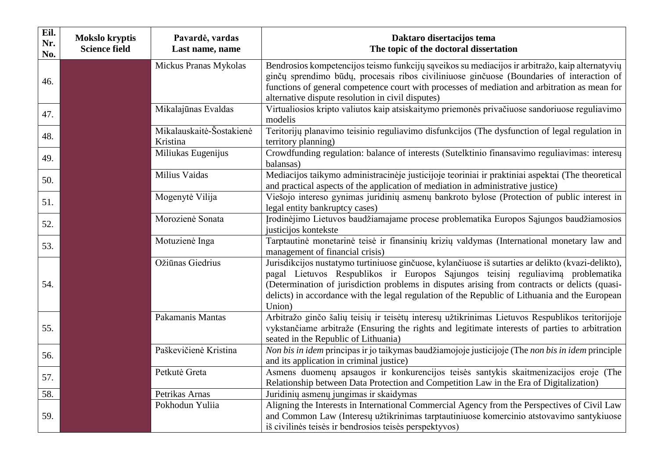| Eil.<br>Nr.<br>No. | <b>Mokslo kryptis</b><br><b>Science field</b> | Pavardė, vardas<br>Last name, name   | Daktaro disertacijos tema<br>The topic of the doctoral dissertation                                                                                                                                                                                                                                                                                                                                |
|--------------------|-----------------------------------------------|--------------------------------------|----------------------------------------------------------------------------------------------------------------------------------------------------------------------------------------------------------------------------------------------------------------------------------------------------------------------------------------------------------------------------------------------------|
| 46.                |                                               | Mickus Pranas Mykolas                | Bendrosios kompetencijos teismo funkcijų sąveikos su mediacijos ir arbitražo, kaip alternatyvių<br>ginčų sprendimo būdų, procesais ribos civiliniuose ginčuose (Boundaries of interaction of<br>functions of general competence court with processes of mediation and arbitration as mean for<br>alternative dispute resolution in civil disputes)                                                 |
| 47.                |                                               | Mikalajūnas Evaldas                  | Virtualiosios kripto valiutos kaip atsiskaitymo priemonės privačiuose sandoriuose reguliavimo<br>modelis                                                                                                                                                                                                                                                                                           |
| 48.                |                                               | Mikalauskaitė-Šostakienė<br>Kristina | Teritorijų planavimo teisinio reguliavimo disfunkcijos (The dysfunction of legal regulation in<br>territory planning)                                                                                                                                                                                                                                                                              |
| 49.                |                                               | Miliukas Eugenijus                   | Crowdfunding regulation: balance of interests (Sutelktinio finansavimo reguliavimas: interesu<br>balansas)                                                                                                                                                                                                                                                                                         |
| 50.                |                                               | Milius Vaidas                        | Mediacijos taikymo administracinėje justicijoje teoriniai ir praktiniai aspektai (The theoretical<br>and practical aspects of the application of mediation in administrative justice)                                                                                                                                                                                                              |
| 51.                |                                               | Mogenytė Vilija                      | Viešojo intereso gynimas juridinių asmenų bankroto bylose (Protection of public interest in<br>legal entity bankruptcy cases)                                                                                                                                                                                                                                                                      |
| 52.                |                                               | Morozienė Sonata                     | Irodinėjimo Lietuvos baudžiamajame procese problematika Europos Sąjungos baudžiamosios<br>justicijos kontekste                                                                                                                                                                                                                                                                                     |
| 53.                |                                               | Motuzienė Inga                       | Tarptautinė monetarinė teisė ir finansinių krizių valdymas (International monetary law and<br>management of financial crisis)                                                                                                                                                                                                                                                                      |
| 54.                |                                               | Ožiūnas Giedrius                     | Jurisdikcijos nustatymo turtiniuose ginčuose, kylančiuose iš sutarties ar delikto (kvazi-delikto),<br>pagal Lietuvos Respublikos ir Europos Sąjungos teisinį reguliavimą problematika<br>(Determination of jurisdiction problems in disputes arising from contracts or delicts (quasi-<br>delicts) in accordance with the legal regulation of the Republic of Lithuania and the European<br>Union) |
| 55.                |                                               | Pakamanis Mantas                     | Arbitražo ginčo šalių teisių ir teisėtų interesų užtikrinimas Lietuvos Respublikos teritorijoje<br>vykstančiame arbitraže (Ensuring the rights and legitimate interests of parties to arbitration<br>seated in the Republic of Lithuania)                                                                                                                                                          |
| 56.                |                                               | Paškevičienė Kristina                | Non bis in idem principas ir jo taikymas baudžiamojoje justicijoje (The non bis in idem principle<br>and its application in criminal justice)                                                                                                                                                                                                                                                      |
| 57.                |                                               | Petkutė Greta                        | Asmens duomenų apsaugos ir konkurencijos teisės santykis skaitmenizacijos eroje (The<br>Relationship between Data Protection and Competition Law in the Era of Digitalization)                                                                                                                                                                                                                     |
| 58.                |                                               | Petrikas Arnas                       | Juridinių asmenų jungimas ir skaidymas                                                                                                                                                                                                                                                                                                                                                             |
| 59.                |                                               | Pokhodun Yuliia                      | Aligning the Interests in International Commercial Agency from the Perspectives of Civil Law<br>and Common Law (Interesų užtikrinimas tarptautiniuose komercinio atstovavimo santykiuose<br>iš civilinės teisės ir bendrosios teisės perspektyvos)                                                                                                                                                 |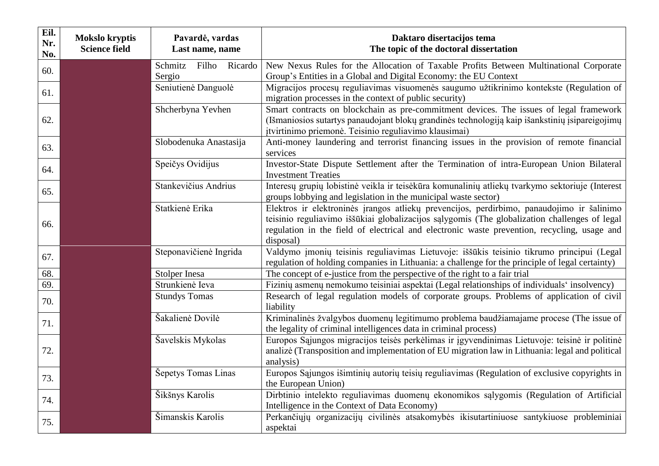| Eil.<br>Nr.<br>No. | Mokslo kryptis<br><b>Science field</b> | Pavardė, vardas<br>Last name, name | Daktaro disertacijos tema<br>The topic of the doctoral dissertation                                                                                                                                                                                                                                    |
|--------------------|----------------------------------------|------------------------------------|--------------------------------------------------------------------------------------------------------------------------------------------------------------------------------------------------------------------------------------------------------------------------------------------------------|
| 60.                |                                        | Schmitz Filho Ricardo<br>Sergio    | New Nexus Rules for the Allocation of Taxable Profits Between Multinational Corporate<br>Group's Entities in a Global and Digital Economy: the EU Context                                                                                                                                              |
| 61.                |                                        | Seniutienė Danguolė                | Migracijos procesų reguliavimas visuomenės saugumo užtikrinimo kontekste (Regulation of<br>migration processes in the context of public security)                                                                                                                                                      |
| 62.                |                                        | Shcherbyna Yevhen                  | Smart contracts on blockchain as pre-commitment devices. The issues of legal framework<br>(Išmaniosios sutartys panaudojant blokų grandinės technologiją kaip išankstinių įsipareigojimų<br>įtvirtinimo priemonė. Teisinio reguliavimo klausimai)                                                      |
| 63.                |                                        | Slobodenuka Anastasija             | Anti-money laundering and terrorist financing issues in the provision of remote financial<br>services                                                                                                                                                                                                  |
| 64.                |                                        | Speičys Ovidijus                   | Investor-State Dispute Settlement after the Termination of intra-European Union Bilateral<br><b>Investment Treaties</b>                                                                                                                                                                                |
| 65.                |                                        | Stankevičius Andrius               | Interesų grupių lobistinė veikla ir teisėkūra komunalinių atliekų tvarkymo sektoriuje (Interest<br>groups lobbying and legislation in the municipal waste sector)                                                                                                                                      |
| 66.                |                                        | Statkienė Erika                    | Elektros ir elektroninės įrangos atliekų prevencijos, perdirbimo, panaudojimo ir šalinimo<br>teisinio reguliavimo iššūkiai globalizacijos sąlygomis (The globalization challenges of legal<br>regulation in the field of electrical and electronic waste prevention, recycling, usage and<br>disposal) |
| 67.                |                                        | Steponavičienė Ingrida             | Valdymo įmonių teisinis reguliavimas Lietuvoje: iššūkis teisinio tikrumo principui (Legal<br>regulation of holding companies in Lithuania: a challenge for the principle of legal certainty)                                                                                                           |
| 68.                |                                        | Stolper Inesa                      | The concept of e-justice from the perspective of the right to a fair trial                                                                                                                                                                                                                             |
| 69.                |                                        | Strunkienė Ieva                    | Fizinių asmenų nemokumo teisiniai aspektai (Legal relationships of individuals' insolvency)                                                                                                                                                                                                            |
| 70.                |                                        | <b>Stundys Tomas</b>               | Research of legal regulation models of corporate groups. Problems of application of civil<br>liability                                                                                                                                                                                                 |
| 71.                |                                        | Šakalienė Dovilė                   | Kriminalinės žvalgybos duomenų legitimumo problema baudžiamajame procese (The issue of<br>the legality of criminal intelligences data in criminal process)                                                                                                                                             |
| 72.                |                                        | Šavelskis Mykolas                  | Europos Sąjungos migracijos teisės perkėlimas ir įgyvendinimas Lietuvoje: teisinė ir politinė<br>analizė (Transposition and implementation of EU migration law in Lithuania: legal and political<br>analysis)                                                                                          |
| 73.                |                                        | Šepetys Tomas Linas                | Europos Sąjungos išimtinių autorių teisių reguliavimas (Regulation of exclusive copyrights in<br>the European Union)                                                                                                                                                                                   |
| 74.                |                                        | Šikšnys Karolis                    | Dirbtinio intelekto reguliavimas duomenų ekonomikos sąlygomis (Regulation of Artificial<br>Intelligence in the Context of Data Economy)                                                                                                                                                                |
| 75.                |                                        | Šimanskis Karolis                  | Perkančiųjų organizacijų civilinės atsakomybės ikisutartiniuose santykiuose probleminiai<br>aspektai                                                                                                                                                                                                   |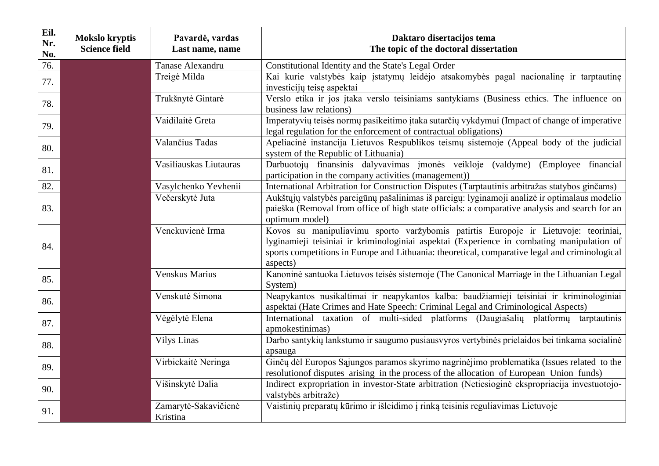| Eil.<br>Nr.<br>No. | <b>Mokslo kryptis</b><br><b>Science field</b> | Pavardė, vardas<br>Last name, name | Daktaro disertacijos tema<br>The topic of the doctoral dissertation                                                                                                                                                                                                                             |
|--------------------|-----------------------------------------------|------------------------------------|-------------------------------------------------------------------------------------------------------------------------------------------------------------------------------------------------------------------------------------------------------------------------------------------------|
| 76.                |                                               | Tanase Alexandru                   | Constitutional Identity and the State's Legal Order                                                                                                                                                                                                                                             |
| 77.                |                                               | Treigė Milda                       | Kai kurie valstybės kaip įstatymų leidėjo atsakomybės pagal nacionalinę ir tarptautinę<br>investicijų teisę aspektai                                                                                                                                                                            |
| 78.                |                                               | Trukšnytė Gintarė                  | Verslo etika ir jos įtaka verslo teisiniams santykiams (Business ethics. The influence on<br>business law relations)                                                                                                                                                                            |
| 79.                |                                               | Vaidilaitė Greta                   | Imperatyvių teisės normų pasikeitimo įtaka sutarčių vykdymui (Impact of change of imperative<br>legal regulation for the enforcement of contractual obligations)                                                                                                                                |
| 80.                |                                               | Valančius Tadas                    | Apeliacinė instancija Lietuvos Respublikos teismų sistemoje (Appeal body of the judicial<br>system of the Republic of Lithuania)                                                                                                                                                                |
| 81.                |                                               | Vasiliauskas Liutauras             | Darbuotojų finansinis dalyvavimas įmonės veikloje (valdyme)<br>(Employee financial)<br>participation in the company activities (management))                                                                                                                                                    |
| 82.                |                                               | Vasylchenko Yevhenii               | International Arbitration for Construction Disputes (Tarptautinis arbitražas statybos ginčams)                                                                                                                                                                                                  |
| 83.                |                                               | Večerskytė Juta                    | Aukštųjų valstybės pareigūnų pašalinimas iš pareigų: lyginamoji analizė ir optimalaus modelio<br>paieška (Removal from office of high state officials: a comparative analysis and search for an<br>optimum model)                                                                               |
| 84.                |                                               | Venckuvienė Irma                   | Kovos su manipuliavimu sporto varžybomis patirtis Europoje ir Lietuvoje: teoriniai,<br>lyginamieji teisiniai ir kriminologiniai aspektai (Experience in combating manipulation of<br>sports competitions in Europe and Lithuania: theoretical, comparative legal and criminological<br>aspects) |
| 85.                |                                               | Venskus Marius                     | Kanoninė santuoka Lietuvos teisės sistemoje (The Canonical Marriage in the Lithuanian Legal<br>System)                                                                                                                                                                                          |
| 86.                |                                               | Venskutė Simona                    | Neapykantos nusikaltimai ir neapykantos kalba: baudžiamieji teisiniai ir kriminologiniai<br>aspektai (Hate Crimes and Hate Speech: Criminal Legal and Criminological Aspects)                                                                                                                   |
| 87.                |                                               | Vėgėlytė Elena                     | International taxation of multi-sided platforms (Daugiašalių platformų tarptautinis<br>apmokestinimas)                                                                                                                                                                                          |
| 88.                |                                               | <b>Vilys Linas</b>                 | Darbo santykių lankstumo ir saugumo pusiausvyros vertybinės prielaidos bei tinkama socialinė<br>apsauga                                                                                                                                                                                         |
| 89.                |                                               | Virbickaitė Neringa                | Ginčų dėl Europos Sąjungos paramos skyrimo nagrinėjimo problematika (Issues related to the<br>resolution of disputes arising in the process of the allocation of European Union funds)                                                                                                          |
| 90.                |                                               | Višinskytė Dalia                   | Indirect expropriation in investor-State arbitration (Netiesioginė ekspropriacija investuotojo-<br>valstybės arbitraže)                                                                                                                                                                         |
| 91.                |                                               | Zamarytė-Sakavičienė<br>Kristina   | Vaistinių preparatų kūrimo ir išleidimo į rinką teisinis reguliavimas Lietuvoje                                                                                                                                                                                                                 |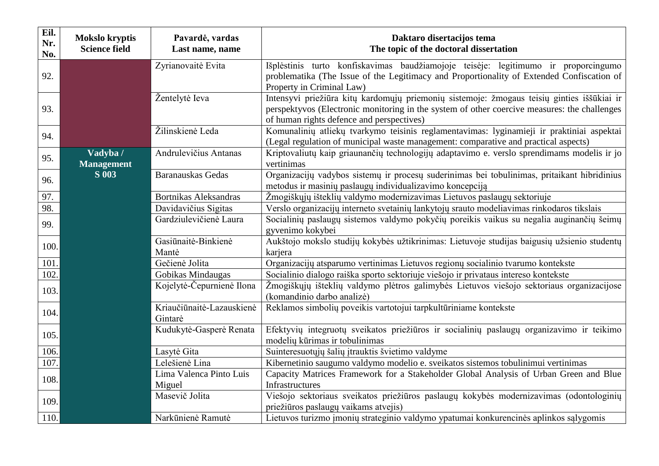| Eil.<br>Nr.<br>No. | <b>Mokslo kryptis</b><br><b>Science field</b> | Pavardė, vardas<br>Last name, name   | Daktaro disertacijos tema<br>The topic of the doctoral dissertation                                                                                                                                                                     |
|--------------------|-----------------------------------------------|--------------------------------------|-----------------------------------------------------------------------------------------------------------------------------------------------------------------------------------------------------------------------------------------|
| 92.                |                                               | Zyrianovaitė Evita                   | Išplėstinis turto konfiskavimas baudžiamojoje teisėje: legitimumo ir proporcingumo<br>problematika (The Issue of the Legitimacy and Proportionality of Extended Confiscation of<br>Property in Criminal Law)                            |
| 93.                |                                               | Žentelytė Ieva                       | Intensyvi priežiūra kitų kardomųjų priemonių sistemoje: žmogaus teisių ginties iššūkiai ir<br>perspektyvos (Electronic monitoring in the system of other coercive measures: the challenges<br>of human rights defence and perspectives) |
| 94.                |                                               | Žilinskienė Leda                     | Komunalinių atliekų tvarkymo teisinis reglamentavimas: lyginamieji ir praktiniai aspektai<br>(Legal regulation of municipal waste management: comparative and practical aspects)                                                        |
| 95.                | Vadyba /<br><b>Management</b>                 | Andrulevičius Antanas                | Kriptovaliutų kaip griaunančių technologijų adaptavimo e. verslo sprendimams modelis ir jo<br>vertinimas                                                                                                                                |
| 96.                | <b>S</b> 003                                  | Baranauskas Gedas                    | Organizacijų vadybos sistemų ir procesų suderinimas bei tobulinimas, pritaikant hibridinius<br>metodus ir masinių paslaugų individualizavimo koncepciją                                                                                 |
| 97.                |                                               | Bortnikas Aleksandras                | Žmogiškųjų išteklių valdymo modernizavimas Lietuvos paslaugų sektoriuje                                                                                                                                                                 |
| 98.                |                                               | Davidavičius Sigitas                 | Verslo organizacijų interneto svetainių lankytojų srauto modeliavimas rinkodaros tikslais                                                                                                                                               |
| 99.                |                                               | Gardziulevičienė Laura               | Socialinių paslaugų sistemos valdymo pokyčių poreikis vaikus su negalia auginančių šeimų<br>gyvenimo kokybei                                                                                                                            |
| 100.               |                                               | Gasiūnaitė-Binkienė<br>Mantė         | Aukštojo mokslo studijų kokybės užtikrinimas: Lietuvoje studijas baigusių užsienio studentų<br>karjera                                                                                                                                  |
| 101.               |                                               | Gečienė Jolita                       | Organizacijų atsparumo vertinimas Lietuvos regionų socialinio tvarumo kontekste                                                                                                                                                         |
| 102.               |                                               | Gobikas Mindaugas                    | Socialinio dialogo raiška sporto sektoriuje viešojo ir privataus intereso kontekste                                                                                                                                                     |
| 103.               |                                               | Kojelytė-Čepurnienė Ilona            | Žmogiškųjų išteklių valdymo plėtros galimybės Lietuvos viešojo sektoriaus organizacijose<br>(komandinio darbo analizė)                                                                                                                  |
| 104.               |                                               | Kriaučiūnaitė-Lazauskienė<br>Gintarė | Reklamos simbolių poveikis vartotojui tarpkultūriniame kontekste                                                                                                                                                                        |
| 105.               |                                               | Kudukytė-Gasperė Renata              | Efektyvių integruotų sveikatos priežiūros ir socialinių paslaugų organizavimo ir teikimo<br>modelių kūrimas ir tobulinimas                                                                                                              |
| 106.               |                                               | Lasytė Gita                          | Suinteresuotųjų šalių įtrauktis švietimo valdyme                                                                                                                                                                                        |
| 107.               |                                               | Lelešienė Lina                       | Kibernetinio saugumo valdymo modelio e. sveikatos sistemos tobulinimui vertinimas                                                                                                                                                       |
| 108.               |                                               | Lima Valenca Pinto Luis<br>Miguel    | Capacity Matrices Framework for a Stakeholder Global Analysis of Urban Green and Blue<br>Infrastructures                                                                                                                                |
| 109.               |                                               | Masevič Jolita                       | Viešojo sektoriaus sveikatos priežiūros paslaugų kokybės modernizavimas (odontologinių<br>priežiūros paslaugų vaikams atvejis)                                                                                                          |
| 110.               |                                               | Narkūnienė Ramutė                    | Lietuvos turizmo įmonių strateginio valdymo ypatumai konkurencinės aplinkos sąlygomis                                                                                                                                                   |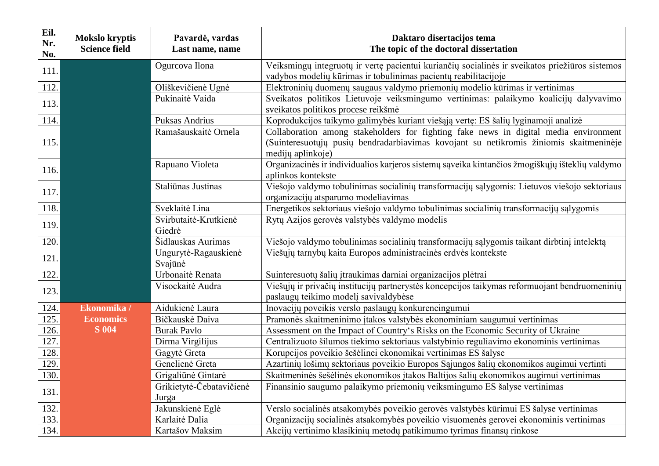| Eil.<br>Nr.<br>No. | <b>Mokslo kryptis</b><br><b>Science field</b> | Pavardė, vardas<br>Last name, name | Daktaro disertacijos tema<br>The topic of the doctoral dissertation                                                                                                                                 |
|--------------------|-----------------------------------------------|------------------------------------|-----------------------------------------------------------------------------------------------------------------------------------------------------------------------------------------------------|
| 111.               |                                               | Ogurcova Ilona                     | Veiksmingų integruotų ir vertę pacientui kuriančių socialinės ir sveikatos priežiūros sistemos<br>vadybos modelių kūrimas ir tobulinimas pacientų reabilitacijoje                                   |
| 112.               |                                               | Oliškevičienė Ugnė                 | Elektroninių duomenų saugaus valdymo priemonių modelio kūrimas ir vertinimas                                                                                                                        |
| 113.               |                                               | Pukinaitė Vaida                    | Sveikatos politikos Lietuvoje veiksmingumo vertinimas: palaikymo koalicijų dalyvavimo<br>sveikatos politikos procese reikšmė                                                                        |
| 114.               |                                               | Puksas Andrius                     | Koprodukcijos taikymo galimybės kuriant viešąją vertę: ES šalių lyginamoji analizė                                                                                                                  |
| 115.               |                                               | Ramašauskaitė Ornela               | Collaboration among stakeholders for fighting fake news in digital media environment<br>(Suinteresuotųjų pusių bendradarbiavimas kovojant su netikromis žiniomis skaitmeninėje<br>medijų aplinkoje) |
| 116.               |                                               | Rapuano Violeta                    | Organizacinės ir individualios karjeros sistemų sąveika kintančios žmogiškųjų išteklių valdymo<br>aplinkos kontekste                                                                                |
| 117.               |                                               | Staliūnas Justinas                 | Viešojo valdymo tobulinimas socialinių transformacijų sąlygomis: Lietuvos viešojo sektoriaus<br>organizacijų atsparumo modeliavimas                                                                 |
| 118.               |                                               | Sveklaitė Lina                     | Energetikos sektoriaus viešojo valdymo tobulinimas socialinių transformacijų sąlygomis                                                                                                              |
| 119.               |                                               | Svirbutaitė-Krutkienė<br>Giedrė    | Rytų Azijos gerovės valstybės valdymo modelis                                                                                                                                                       |
| 120.               |                                               | Šidlauskas Aurimas                 | Viešojo valdymo tobulinimas socialinių transformacijų sąlygomis taikant dirbtinį intelektą                                                                                                          |
| 121                |                                               | Ungurytė-Ragauskienė<br>Svajūnė    | Viešųjų tarnybų kaita Europos administracinės erdvės kontekste                                                                                                                                      |
| 122.               |                                               | Urbonaitė Renata                   | Suinteresuotų šalių įtraukimas darniai organizacijos plėtrai                                                                                                                                        |
| 123.               |                                               | Visockaitė Audra                   | Viešųjų ir privačių institucijų partnerystės koncepcijos taikymas reformuojant bendruomeninių<br>paslaugų teikimo modelį savivaldybėse                                                              |
| 124.               | Ekonomika /                                   | Aidukienė Laura                    | Inovacijų poveikis verslo paslaugų konkurencingumui                                                                                                                                                 |
| 125.               | <b>Economics</b>                              | Bičkauskė Daiva                    | Pramonės skaitmeninimo įtakos valstybės ekonominiam saugumui vertinimas                                                                                                                             |
| 126.               | <b>S</b> 004                                  | <b>Burak Pavlo</b>                 | Assessment on the Impact of Country's Risks on the Economic Security of Ukraine                                                                                                                     |
| 127.               |                                               | Dirma Virgilijus                   | Centralizuoto šilumos tiekimo sektoriaus valstybinio reguliavimo ekonominis vertinimas                                                                                                              |
| 128.               |                                               | Gagytė Greta                       | Korupcijos poveikio šešėlinei ekonomikai vertinimas ES šalyse                                                                                                                                       |
| 129.               |                                               | Genelienė Greta                    | Azartinių lošimų sektoriaus poveikio Europos Sąjungos šalių ekonomikos augimui vertinti                                                                                                             |
| 130.               |                                               | Grigaliūnė Gintarė                 | Skaitmeninės šešėlinės ekonomikos itakos Baltijos šalių ekonomikos augimui vertinimas                                                                                                               |
| 131.               |                                               | Grikietytė-Čebatavičienė<br>Jurga  | Finansinio saugumo palaikymo priemonių veiksmingumo ES šalyse vertinimas                                                                                                                            |
| 132.               |                                               | Jakunskienė Eglė                   | Verslo socialinės atsakomybės poveikio gerovės valstybės kūrimui ES šalyse vertinimas                                                                                                               |
| 133.               |                                               | Karlaitė Dalia                     | Organizacijų socialinės atsakomybės poveikio visuomenės gerovei ekonominis vertinimas                                                                                                               |
| 134.               |                                               | Kartašov Maksim                    | Akcijų vertinimo klasikinių metodų patikimumo tyrimas finansų rinkose                                                                                                                               |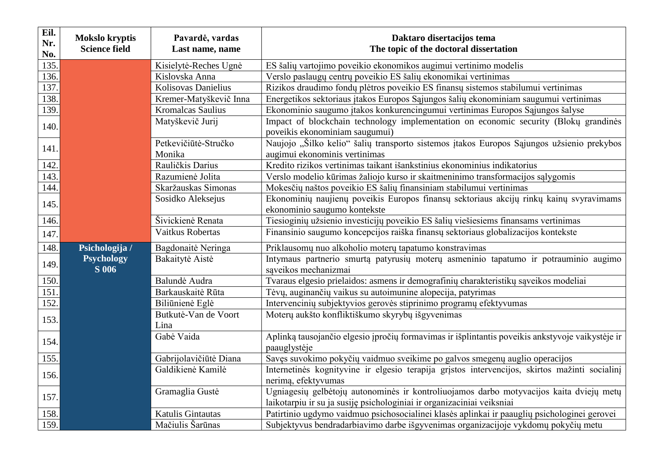| Eil.<br>Nr.<br>No. | <b>Mokslo kryptis</b><br><b>Science field</b> | Pavardė, vardas<br>Last name, name | Daktaro disertacijos tema<br>The topic of the doctoral dissertation                                                                                               |
|--------------------|-----------------------------------------------|------------------------------------|-------------------------------------------------------------------------------------------------------------------------------------------------------------------|
| 135.               |                                               | Kisielytė-Reches Ugnė              | ES šalių vartojimo poveikio ekonomikos augimui vertinimo modelis                                                                                                  |
| 136.               |                                               | Kislovska Anna                     | Verslo paslaugų centrų poveikio ES šalių ekonomikai vertinimas                                                                                                    |
| 137.               |                                               | Kolisovas Danielius                | Rizikos draudimo fondų plėtros poveikio ES finansų sistemos stabilumui vertinimas                                                                                 |
| 138.               |                                               | Kremer-Matyškevič Inna             | Energetikos sektoriaus įtakos Europos Sąjungos šalių ekonominiam saugumui vertinimas                                                                              |
| 139.               |                                               | Kromalcas Saulius                  | Ekonominio saugumo įtakos konkurencingumui vertinimas Europos Sąjungos šalyse                                                                                     |
| 140.               |                                               | Matyškevič Jurij                   | Impact of blockchain technology implementation on economic security (Bloku grandines<br>poveikis ekonominiam saugumui)                                            |
| 141.               |                                               | Petkevičiūtė-Stručko<br>Monika     | Naujojo "Šilko kelio" šalių transporto sistemos įtakos Europos Sąjungos užsienio prekybos<br>augimui ekonominis vertinimas                                        |
| 142.               |                                               | Rauličkis Darius                   | Kredito rizikos vertinimas taikant išankstinius ekonominius indikatorius                                                                                          |
| 143.               |                                               | Razumienė Jolita                   | Verslo modelio kūrimas žaliojo kurso ir skaitmeninimo transformacijos sąlygomis                                                                                   |
| 144.               |                                               | Skaržauskas Simonas                | Mokesčių naštos poveikio ES šalių finansiniam stabilumui vertinimas                                                                                               |
| 145.               |                                               | Sosidko Aleksejus                  | Ekonominių naujienų poveikis Europos finansų sektoriaus akcijų rinkų kainų svyravimams<br>ekonominio saugumo kontekste                                            |
| 146.               |                                               | Šivickienė Renata                  | Tiesioginių užsienio investicijų poveikio ES šalių viešiesiems finansams vertinimas                                                                               |
| 147.               |                                               | Vaitkus Robertas                   | Finansinio saugumo koncepcijos raiška finansų sektoriaus globalizacijos kontekste                                                                                 |
| 148.               | Psichologija /                                | Bagdonaitė Neringa                 | Priklausomų nuo alkoholio moterų tapatumo konstravimas                                                                                                            |
| 149.               | <b>Psychology</b><br><b>S</b> 006             | Bakaitytė Aistė                    | Intymaus partnerio smurtą patyrusių moterų asmeninio tapatumo ir potrauminio augimo<br>saveikos mechanizmai                                                       |
| 150.               |                                               | Balundė Audra                      | Tvaraus elgesio prielaidos: asmens ir demografinių charakteristikų sąveikos modeliai                                                                              |
| 151.               |                                               | Barkauskaitė Rūta                  | Tėvų, auginančių vaikus su autoimunine alopecija, patyrimas                                                                                                       |
| 152.               |                                               | Biliūnienė Eglė                    | Intervencinių subjektyvios gerovės stiprinimo programų efektyvumas                                                                                                |
| 153.               |                                               | Butkutė-Van de Voort<br>Lina       | Moterų aukšto konfliktiškumo skyrybų išgyvenimas                                                                                                                  |
| 154.               |                                               | Gabė Vaida                         | Aplinką tausojančio elgesio įpročių formavimas ir išplintantis poveikis ankstyvoje vaikystėje ir<br>paauglystėje                                                  |
| 155.               |                                               | Gabrijolavičiūtė Diana             | Savęs suvokimo pokyčių vaidmuo sveikime po galvos smegenų auglio operacijos                                                                                       |
| 156.               |                                               | Galdikienė Kamilė                  | Internetinės kognityvine ir elgesio terapija grįstos intervencijos, skirtos mažinti socialinį<br>nerimą, efektyvumas                                              |
| 157.               |                                               | Gramaglia Gustė                    | Ugniagesių gelbėtojų autonominės ir kontroliuojamos darbo motyvacijos kaita dviejų metų<br>laikotarpiu ir su ja susiję psichologiniai ir organizaciniai veiksniai |
| 158.               |                                               | Katulis Gintautas                  | Patirtinio ugdymo vaidmuo psichosocialinei klasės aplinkai ir paauglių psichologinei gerovei                                                                      |
| 159.               |                                               | Mačiulis Šarūnas                   | Subjektyvus bendradarbiavimo darbe išgyvenimas organizacijoje vykdomų pokyčių metu                                                                                |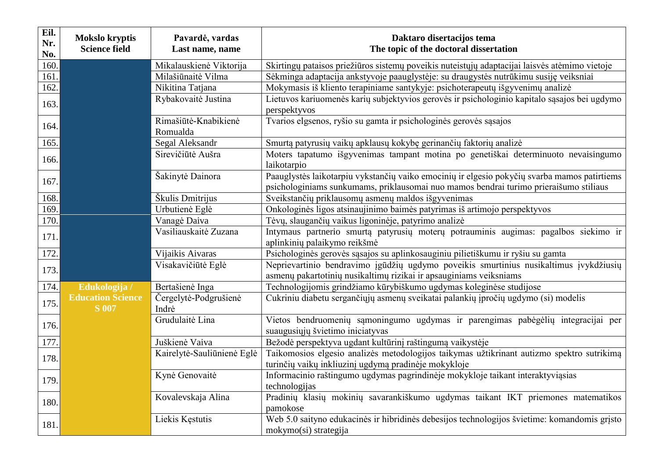| Eil.<br>Nr.<br>No. | <b>Mokslo kryptis</b><br><b>Science field</b> | Pavardė, vardas<br>Last name, name | Daktaro disertacijos tema<br>The topic of the doctoral dissertation                                                                                                                   |
|--------------------|-----------------------------------------------|------------------------------------|---------------------------------------------------------------------------------------------------------------------------------------------------------------------------------------|
| 160.               |                                               | Mikalauskienė Viktorija            | Skirtingų pataisos priežiūros sistemų poveikis nuteistųjų adaptacijai laisvės atėmimo vietoje                                                                                         |
| 161.               |                                               | Milašiūnaitė Vilma                 | Sėkminga adaptacija ankstyvoje paauglystėje: su draugystės nutrūkimu susiję veiksniai                                                                                                 |
| 162.               |                                               | Nikitina Tatjana                   | Mokymasis iš kliento terapiniame santykyje: psichoterapeutų išgyvenimų analizė                                                                                                        |
| 163.               |                                               | Rybakovaitė Justina                | Lietuvos kariuomenės karių subjektyvios gerovės ir psichologinio kapitalo sąsajos bei ugdymo<br>perspektyvos                                                                          |
| 164.               |                                               | Rimašiūtė-Knabikienė<br>Romualda   | Tvarios elgsenos, ryšio su gamta ir psichologinės gerovės sąsajos                                                                                                                     |
| 165.               |                                               | Segal Aleksandr                    | Smurtą patyrusių vaikų apklausų kokybę gerinančių faktorių analizė                                                                                                                    |
| 166.               |                                               | Sirevičiūtė Aušra                  | Moters tapatumo išgyvenimas tampant motina po genetiškai determinuoto nevaisingumo<br>laikotarpio                                                                                     |
| 167.               |                                               | Šakinytė Dainora                   | Paauglystės laikotarpiu vykstančių vaiko emocinių ir elgesio pokyčių svarba mamos patirtiems<br>psichologiniams sunkumams, priklausomai nuo mamos bendrai turimo prieraišumo stiliaus |
| 168.               |                                               | Škulis Dmitrijus                   | Sveikstančių priklausomų asmenų maldos išgyvenimas                                                                                                                                    |
| 169.               |                                               | Urbutienė Eglė                     | Onkologinės ligos atsinaujinimo baimės patyrimas iš artimojo perspektyvos                                                                                                             |
| 170.               |                                               | Vanagė Daiva                       | Tėvų, slaugančių vaikus ligoninėje, patyrimo analizė                                                                                                                                  |
| 171.               |                                               | Vasiliauskaitė Zuzana              | Intymaus partnerio smurtą patyrusių moterų potrauminis augimas: pagalbos siekimo ir<br>aplinkinių palaikymo reikšmė                                                                   |
| 172.               |                                               | Vijaikis Aivaras                   | Psichologinės gerovės sąsajos su aplinkosauginiu pilietiškumu ir ryšiu su gamta                                                                                                       |
| 173.               |                                               | Visakavičiūtė Eglė                 | Neprievartinio bendravimo įgūdžių ugdymo poveikis smurtinius nusikaltimus įvykdžiusių<br>asmenų pakartotinių nusikaltimų rizikai ir apsauginiams veiksniams                           |
| 174.               | Edukologija /                                 | Bertašienė Inga                    | Technologijomis grindžiamo kūrybiškumo ugdymas koleginėse studijose                                                                                                                   |
| 175.               | <b>Education Science</b><br><b>S</b> 007      | Čergelytė-Podgrušienė<br>Indrė     | Cukriniu diabetu sergančiųjų asmenų sveikatai palankių įpročių ugdymo (si) modelis                                                                                                    |
| 176.               |                                               | Grudulaitė Lina                    | Vietos bendruomenių sąmoningumo ugdymas ir parengimas pabėgėlių integracijai per<br>suaugusiųjų švietimo iniciatyvas                                                                  |
| 177.               |                                               | Juškienė Vaiva                     | Bežodė perspektyva ugdant kultūrinį raštingumą vaikystėje                                                                                                                             |
| 178.               |                                               | Kairelytė-Sauliūnienė Eglė         | Taikomosios elgesio analizės metodologijos taikymas užtikrinant autizmo spektro sutrikimą<br>turinčių vaikų inkliuzinį ugdymą pradinėje mokykloje                                     |
| 179.               |                                               | Kynė Genovaitė                     | Informacinio raštingumo ugdymas pagrindinėje mokykloje taikant interaktyviąsias<br>technologijas                                                                                      |
| 180.               |                                               | Kovalevskaja Alina                 | Pradinių klasių mokinių savarankiškumo ugdymas taikant IKT priemones matematikos<br>pamokose                                                                                          |
| 181.               |                                               | Liekis Kęstutis                    | Web 5.0 saityno edukacinės ir hibridinės debesijos technologijos švietime: komandomis gristo<br>mokymo(si) strategija                                                                 |